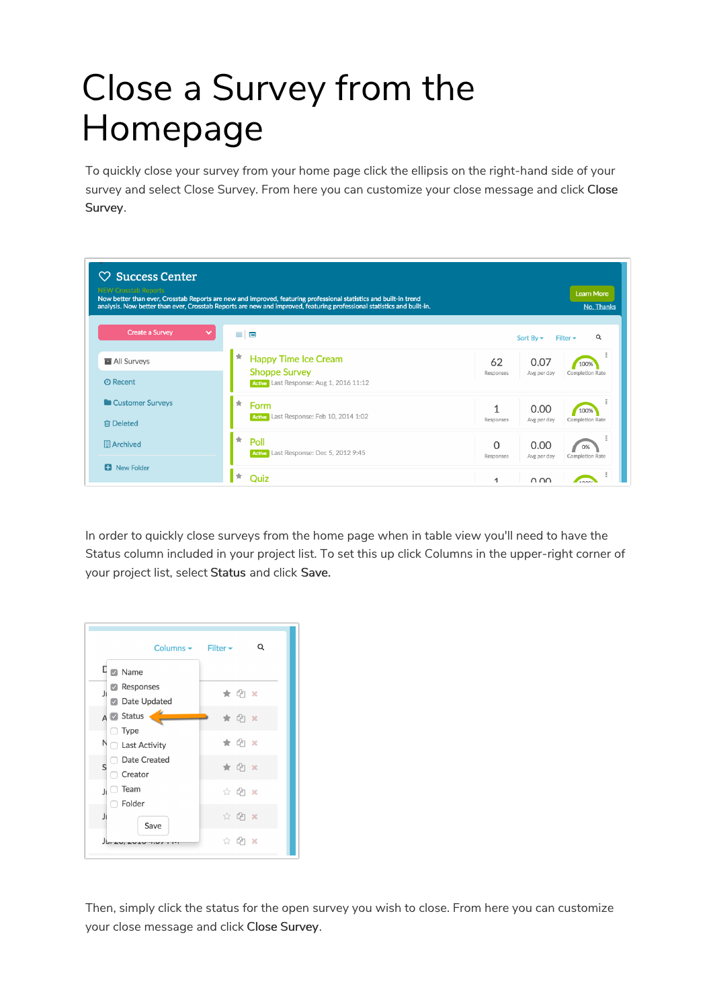## Close a Survey from the Homepage

To quickly close your survey from your home page click the ellipsis on the right-hand side of your survey and select Close Survey. From here you can customize your close message and click Close Survey.

| $\heartsuit$ Success Center            |                                                                                                                                                                                                                                             |                                                                          |  |  |  |  |  |
|----------------------------------------|---------------------------------------------------------------------------------------------------------------------------------------------------------------------------------------------------------------------------------------------|--------------------------------------------------------------------------|--|--|--|--|--|
| <b>NEW Crosstab Reports</b>            | Now better than ever, Crosstab Reports are new and improved, featuring professional statistics and built-in trend<br>analysis. Now better than ever, Crosstab Reports are new and improved, featuring professional statistics and built-in. | <b>Learn More</b><br>No, Thanks                                          |  |  |  |  |  |
| <b>Create a Survey</b><br>$\checkmark$ | $\equiv$<br>$\qquad \qquad \blacksquare$                                                                                                                                                                                                    | Q<br>Sort By $\sim$<br>Filter $\star$                                    |  |  |  |  |  |
| All Surveys<br><b>@</b> Recent         | ★<br><b>Happy Time Ice Cream</b><br><b>Shoppe Survey</b><br>Active Last Response: Aug 1, 2016 11:12                                                                                                                                         | 62<br>0.07<br>100%<br>Responses<br><b>Completion Rate</b><br>Avg per day |  |  |  |  |  |
| Customer Surveys<br><b>俞 Deleted</b>   | $\pm$<br>Form<br>Active Last Response: Feb 10, 2014 1:02                                                                                                                                                                                    | 1<br>0.00<br>100%<br><b>Completion Rate</b><br>Responses<br>Avg per day  |  |  |  |  |  |
| Archived                               | $\pm$<br>Poll<br>Active Last Response: Dec 5, 2012 9:45                                                                                                                                                                                     | 0.00<br>0<br>0%<br>Responses<br><b>Completion Rate</b><br>Avg per day    |  |  |  |  |  |
| <b>D</b> New Folder                    | l *<br><b>Quiz</b>                                                                                                                                                                                                                          | 0.00<br>1                                                                |  |  |  |  |  |

In order to quickly close surveys from the home page when in table view you'll need to have the Status column included in your project list. To set this up click Columns in the upper-right corner of your project list, select Status and click Save.



Then, simply click the status for the open survey you wish to close. From here you can customize your close message and click Close Survey.